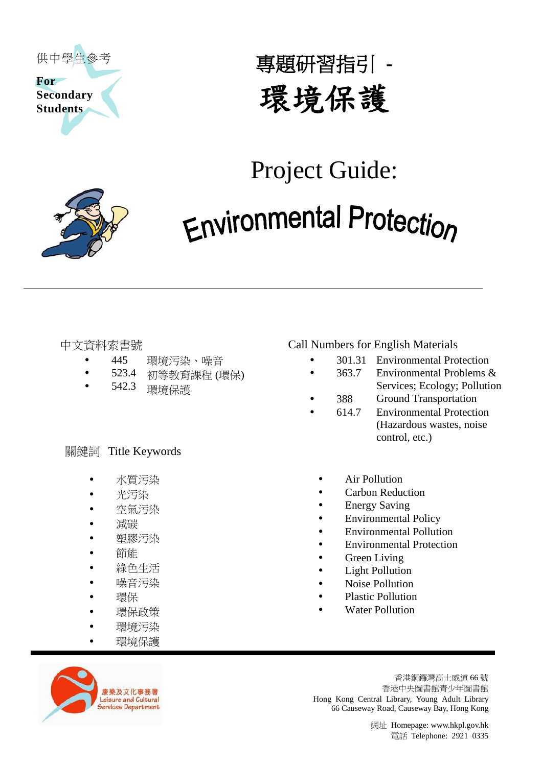

專題研習指引 **-** 環境保護

# Project Guide:



- 445 環境污染、噪音
- 523.4 初等教育課程 (環保)
- 542.3 環境保護

### 關鍵詞 Title Keywords

- 水質污染
- 光污染
- 空氣污染
- 減碳
- 塑膠污染
- 節能
- 綠色生活
- 噪音污染
- 環保
- 環保政策
- 環境污染
	- 環境保護

# 中文資料索書號 Call Numbers for English Materials

- 301.31 Environmental Protection
- 363.7 Environmental Problems &
- Services; Ecology; Pollution
- 388 Ground Transportation
- 614.7 Environmental Protection (Hazardous wastes, noise control, etc.)
- Air Pollution
- Carbon Reduction
- Energy Saving
- Environmental Policy
- Environmental Pollution
- Environmental Protection
- Green Living
- Light Pollution
- Noise Pollution
- Plastic Pollution
- Water Pollution



香港銅鑼灣高士威道 66 號 香港中央圖書館青少年圖書館 Hong Kong Central Library, Young Adult Library 66 Causeway Road, Causeway Bay, Hong Kong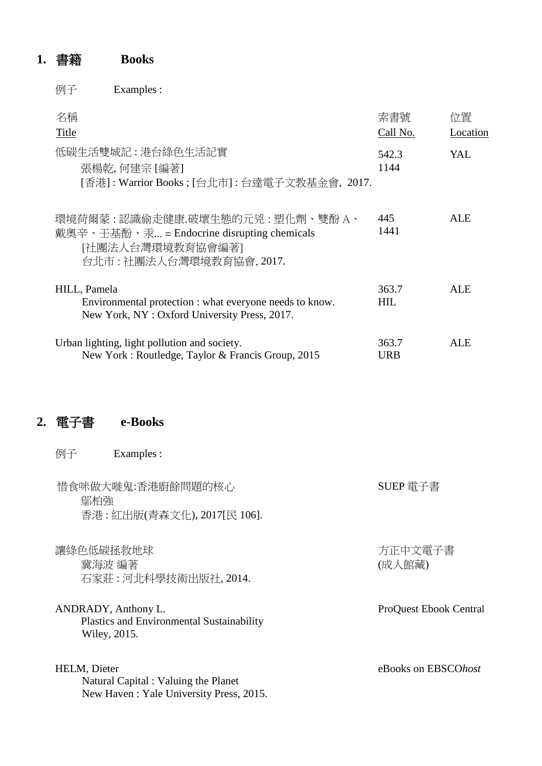# **1.** 書籍 **Books**

例子 Examples :

| 名稱<br>Title                                                                                                                     | 索書號<br>Call No.     | 位置<br>Location |
|---------------------------------------------------------------------------------------------------------------------------------|---------------------|----------------|
| 低碳生活雙城記:港台綠色生活記實<br>張楊乾,何建宗 [編著]<br>[香港] : Warrior Books ; [台北市] : 台達電子文教基金會, 2017.                                             | 542.3<br>1144       | YAL.           |
| 環境荷爾蒙 : 認識偷走健康.破壞生熊的元兇 : 塑化劑、雙酚 A、<br>戴奧辛、壬基酚、汞 = Endocrine disrupting chemicals<br>[社團法人台灣環境教育協會編著]<br>台北市:社團法人台灣環境教育協會, 2017. | 445<br>1441         | ALE            |
| HILL, Pamela<br>Environmental protection : what everyone needs to know.<br>New York, NY: Oxford University Press, 2017.         | 363.7<br>HIL.       | ALE            |
| Urban lighting, light pollution and society.<br>New York: Routledge, Taylor & Francis Group, 2015                               | 363.7<br><b>URB</b> | ALE            |

# **2.** 電子書 **e**-**Books**

| 例子           | Examples :                                                                              |                               |
|--------------|-----------------------------------------------------------------------------------------|-------------------------------|
| 鄔柏強          | 惜食咪做大嘥鬼:香港廚餘問題的核心<br>香港 : 紅出版(青森文化), 2017[民 106].                                       | SUEP 電子書                      |
| 讓綠色低碳拯救地球    | 冀海波 編著<br>石家莊:河北科學技術出版社, 2014.                                                          | 方正中文電子書<br>(成人館藏)             |
|              | ANDRADY, Anthony L.<br><b>Plastics and Environmental Sustainability</b><br>Wiley, 2015. | <b>ProQuest Ebook Central</b> |
| HELM, Dieter | Natural Capital : Valuing the Planet<br>New Haven: Yale University Press, 2015.         | eBooks on EBSCOhost           |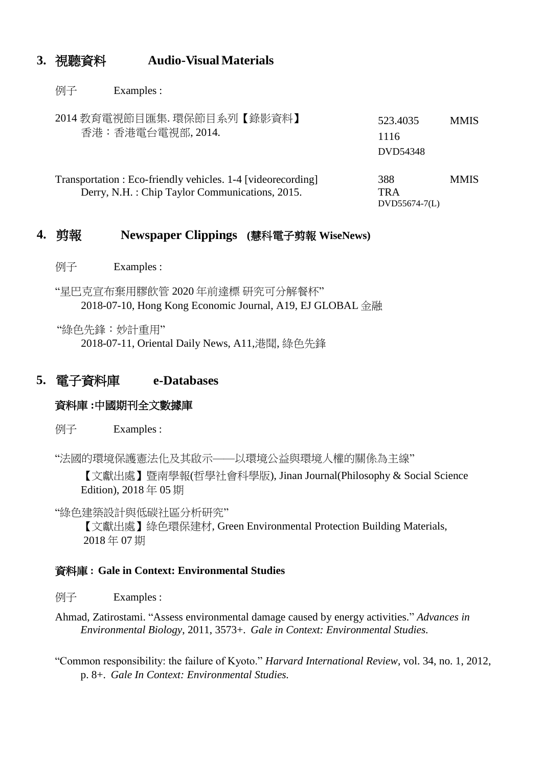# **3.** 視聽資料 **Audio-Visual Materials**

例子 Examples :

| 2014 教育電視節目匯集. 環保節目系列【錄影資料】<br>香港:香港電台電視部, 2014.                                                                              | 523.4035<br>1116<br>DVD54348 | <b>MMIS</b> |
|-------------------------------------------------------------------------------------------------------------------------------|------------------------------|-------------|
| Transportation : Eco-friendly vehicles. 1-4 [videorecording]<br>388<br>Derry, N.H.: Chip Taylor Communications, 2015.<br>TR A | $DVD55674-7(L)$              | <b>MMIS</b> |

# **4.** 剪報 **Newspaper Clippings (**慧科電子剪報 **WiseNews)**

例子 Examples :

"星巴克宣布棄用膠飲管 2020 年前達標 研究可分解餐杯" 2018-07-10, Hong Kong Economic Journal, A19, EJ GLOBAL 金融

"綠色先鋒:妙計重用"

2018-07-11, Oriental Daily News, A11,港聞, 綠色先鋒

## **5.** 電子資料庫 **e-Databases**

#### 資料庫 **:**中國期刊全文數據庫

例子 Examples :

"法國的環境保護憲法化及其啟示——以環境公益與環境人權的關係為主線"

【文獻出處】暨南學報(哲學社會科學版), Jinan Journal(Philosophy & Social Science Edition), 2018 年 05 期

"綠色建築設計與低碳社區分析研究"

【文獻出處】綠色環保建材, Green Environmental Protection Building Materials, 2018 年 07 期

#### 資料庫 **: Gale in Context: Environmental Studies**

例子 Examples :

- Environmental Biology, 2011, 3573+. *Gale in Context: Environmental Studies.* Ahmad, Zatirostami. "Assess environmental damage caused by energy activities." *Advances in*
- "Common responsibility: the failure of Kyoto." *Harvard International Review*, vol. 34, no. 1, 2012, p. 8+. *Gale In Context: Environmental Studies.*